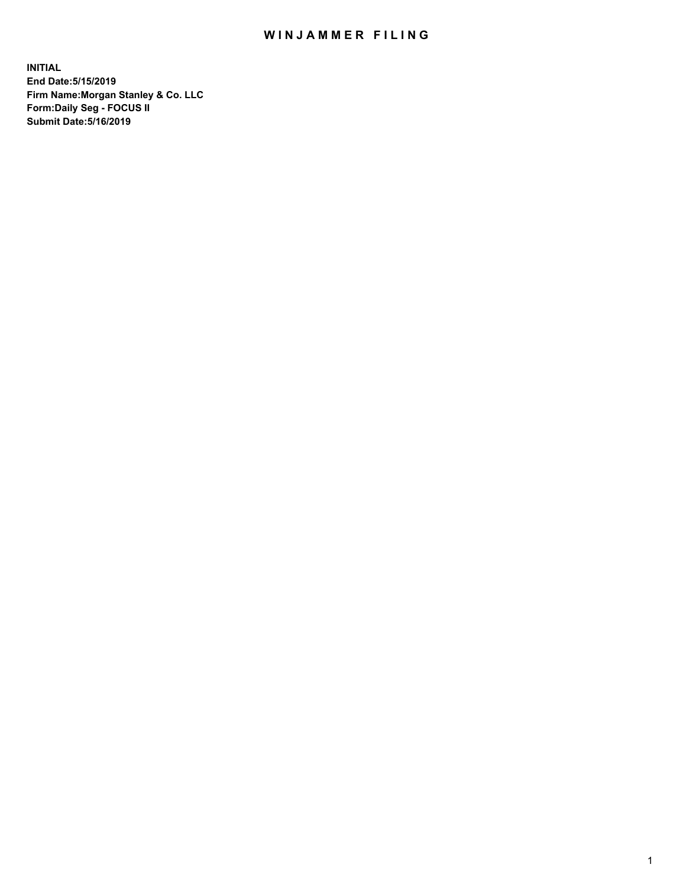## WIN JAMMER FILING

**INITIAL End Date:5/15/2019 Firm Name:Morgan Stanley & Co. LLC Form:Daily Seg - FOCUS II Submit Date:5/16/2019**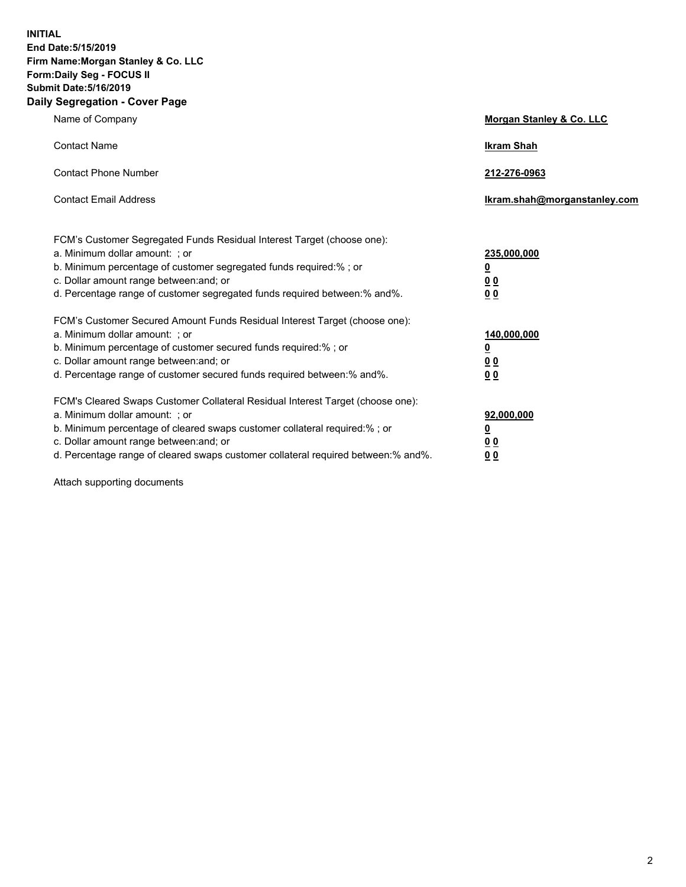**INITIAL End Date:5/15/2019 Firm Name:Morgan Stanley & Co. LLC Form:Daily Seg - FOCUS II Submit Date:5/16/2019 Daily Segregation - Cover Page**

| Name of Company                                                                                                                                                                                                                                                                                                                | Morgan Stanley & Co. LLC                               |
|--------------------------------------------------------------------------------------------------------------------------------------------------------------------------------------------------------------------------------------------------------------------------------------------------------------------------------|--------------------------------------------------------|
| <b>Contact Name</b>                                                                                                                                                                                                                                                                                                            | <b>Ikram Shah</b>                                      |
| <b>Contact Phone Number</b>                                                                                                                                                                                                                                                                                                    | 212-276-0963                                           |
| <b>Contact Email Address</b>                                                                                                                                                                                                                                                                                                   | Ikram.shah@morganstanley.com                           |
| FCM's Customer Segregated Funds Residual Interest Target (choose one):<br>a. Minimum dollar amount: ; or<br>b. Minimum percentage of customer segregated funds required:% ; or<br>c. Dollar amount range between: and; or<br>d. Percentage range of customer segregated funds required between:% and%.                         | 235,000,000<br><u>0</u><br><u>0 0</u><br>0 Q           |
| FCM's Customer Secured Amount Funds Residual Interest Target (choose one):<br>a. Minimum dollar amount: ; or<br>b. Minimum percentage of customer secured funds required:%; or<br>c. Dollar amount range between: and; or<br>d. Percentage range of customer secured funds required between:% and%.                            | 140,000,000<br><u>0</u><br><u>00</u><br>0 <sub>0</sub> |
| FCM's Cleared Swaps Customer Collateral Residual Interest Target (choose one):<br>a. Minimum dollar amount: ; or<br>b. Minimum percentage of cleared swaps customer collateral required:% ; or<br>c. Dollar amount range between: and; or<br>d. Percentage range of cleared swaps customer collateral required between:% and%. | 92,000,000<br><u>0</u><br><u>00</u><br>0 <sub>0</sub>  |

Attach supporting documents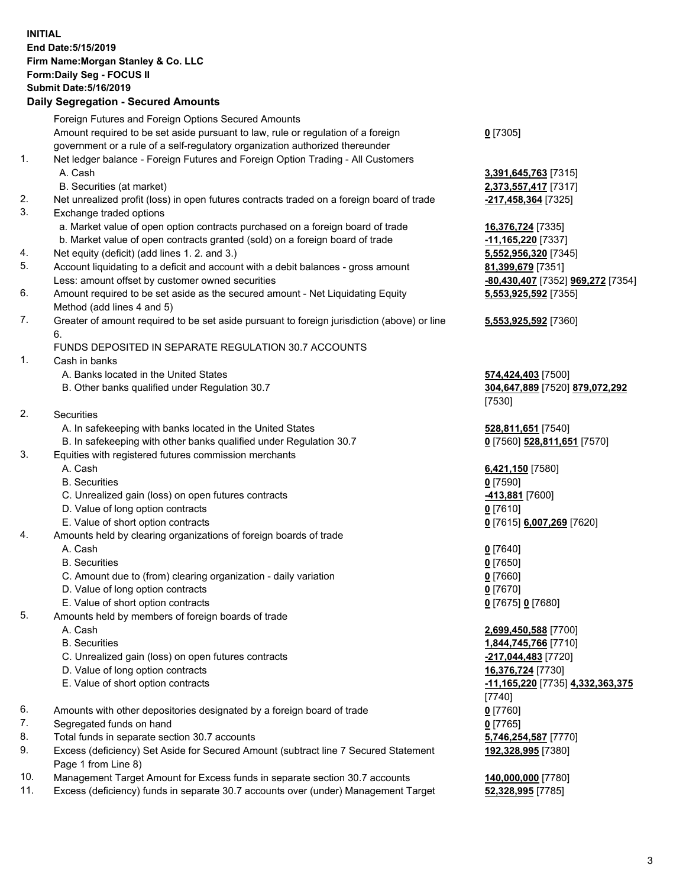## **INITIAL End Date:5/15/2019 Firm Name:Morgan Stanley & Co. LLC Form:Daily Seg - FOCUS II Submit Date:5/16/2019 Daily Segregation - Secured Amounts**

Foreign Futures and Foreign Options Secured Amounts Amount required to be set aside pursuant to law, rule or regulation of a foreign government or a rule of a self-regulatory organization authorized thereunder **0** [7305] 1. Net ledger balance - Foreign Futures and Foreign Option Trading - All Customers A. Cash **3,391,645,763** [7315] B. Securities (at market) **2,373,557,417** [7317] 2. Net unrealized profit (loss) in open futures contracts traded on a foreign board of trade **-217,458,364** [7325] 3. Exchange traded options a. Market value of open option contracts purchased on a foreign board of trade **16,376,724** [7335] b. Market value of open contracts granted (sold) on a foreign board of trade **-11,165,220** [7337] 4. Net equity (deficit) (add lines 1. 2. and 3.) **5,552,956,320** [7345] 5. Account liquidating to a deficit and account with a debit balances - gross amount **81,399,679** [7351] Less: amount offset by customer owned securities **-80,430,407** [7352] **969,272** [7354] 6. Amount required to be set aside as the secured amount - Net Liquidating Equity Method (add lines 4 and 5) 7. Greater of amount required to be set aside pursuant to foreign jurisdiction (above) or line 6. FUNDS DEPOSITED IN SEPARATE REGULATION 30.7 ACCOUNTS 1. Cash in banks A. Banks located in the United States **574,424,403** [7500] B. Other banks qualified under Regulation 30.7 **304,647,889** [7520] **879,072,292** [7530] 2. Securities A. In safekeeping with banks located in the United States **528,811,651** [7540] B. In safekeeping with other banks qualified under Regulation 30.7 **0** [7560] **528,811,651** [7570] 3. Equities with registered futures commission merchants A. Cash **6,421,150** [7580] B. Securities **0** [7590] C. Unrealized gain (loss) on open futures contracts **-413,881** [7600] D. Value of long option contracts **0** [7610] E. Value of short option contracts **0** [7615] **6,007,269** [7620] 4. Amounts held by clearing organizations of foreign boards of trade A. Cash **0** [7640] B. Securities **0** [7650] C. Amount due to (from) clearing organization - daily variation **0** [7660] D. Value of long option contracts **0** [7670] E. Value of short option contracts **0** [7675] **0** [7680] 5. Amounts held by members of foreign boards of trade A. Cash **2,699,450,588** [7700] B. Securities **1,844,745,766** [7710] C. Unrealized gain (loss) on open futures contracts **-217,044,483** [7720] D. Value of long option contracts **16,376,724** [7730] E. Value of short option contracts **-11,165,220** [7735] **4,332,363,375** [7740]

- 6. Amounts with other depositories designated by a foreign board of trade **0** [7760]
- 7. Segregated funds on hand **0** [7765]
- 8. Total funds in separate section 30.7 accounts **5,746,254,587** [7770]
- 9. Excess (deficiency) Set Aside for Secured Amount (subtract line 7 Secured Statement Page 1 from Line 8)
- 10. Management Target Amount for Excess funds in separate section 30.7 accounts **140,000,000** [7780]
- 11. Excess (deficiency) funds in separate 30.7 accounts over (under) Management Target **52,328,995** [7785]

**5,553,925,592** [7355] **5,553,925,592** [7360]

**192,328,995** [7380]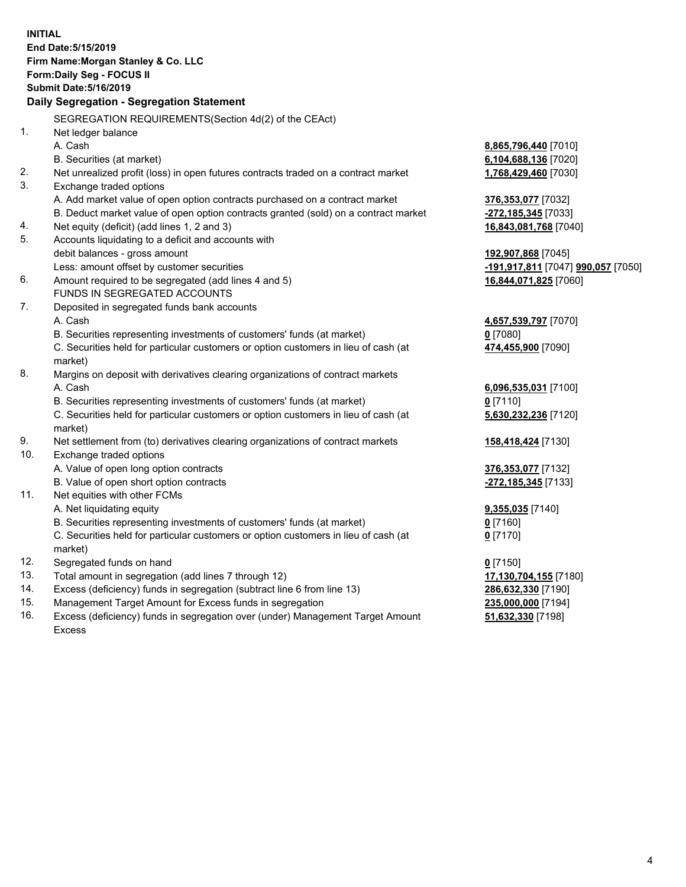|     | <b>INITIAL</b><br>End Date: 5/15/2019<br>Firm Name: Morgan Stanley & Co. LLC<br><b>Form:Daily Seg - FOCUS II</b><br><b>Submit Date: 5/16/2019</b> |                                    |
|-----|---------------------------------------------------------------------------------------------------------------------------------------------------|------------------------------------|
|     | Daily Segregation - Segregation Statement                                                                                                         |                                    |
|     | SEGREGATION REQUIREMENTS (Section 4d(2) of the CEAct)                                                                                             |                                    |
| 1.  | Net ledger balance                                                                                                                                |                                    |
|     | A. Cash                                                                                                                                           | 8,865,796,440 [7010]               |
|     | B. Securities (at market)                                                                                                                         | <u>6,104,688,136</u> [7020]        |
| 2.  | Net unrealized profit (loss) in open futures contracts traded on a contract market                                                                | 1,768,429,460 [7030]               |
| 3.  | Exchange traded options                                                                                                                           |                                    |
|     | A. Add market value of open option contracts purchased on a contract market                                                                       | 376,353,077 [7032]                 |
|     | B. Deduct market value of open option contracts granted (sold) on a contract market                                                               | <u>-272,185,345</u> [7033]         |
| 4.  | Net equity (deficit) (add lines 1, 2 and 3)                                                                                                       | 16,843,081,768 [7040]              |
| 5.  | Accounts liquidating to a deficit and accounts with                                                                                               |                                    |
|     | debit balances - gross amount                                                                                                                     | <u>192,907,868</u> [7045]          |
|     | Less: amount offset by customer securities                                                                                                        | -191,917,811 [7047] 990,057 [7050] |
| 6.  | Amount required to be segregated (add lines 4 and 5)                                                                                              | 16,844,071,825 [7060]              |
|     | FUNDS IN SEGREGATED ACCOUNTS                                                                                                                      |                                    |
| 7.  | Deposited in segregated funds bank accounts                                                                                                       |                                    |
|     | A. Cash                                                                                                                                           | 4,657,539,797 [7070]               |
|     | B. Securities representing investments of customers' funds (at market)                                                                            | 0 [7080]                           |
|     | C. Securities held for particular customers or option customers in lieu of cash (at<br>market)                                                    | <u>474,455,900</u> [7090]          |
| 8.  | Margins on deposit with derivatives clearing organizations of contract markets                                                                    |                                    |
|     | A. Cash                                                                                                                                           | 6,096,535,031 [7100]               |
|     | B. Securities representing investments of customers' funds (at market)                                                                            | 0 <sup>[7110]</sup>                |
|     | C. Securities held for particular customers or option customers in lieu of cash (at<br>market)                                                    | 5,630,232,236 [7120]               |
| 9.  | Net settlement from (to) derivatives clearing organizations of contract markets                                                                   | <u>158,418,424</u> [7130]          |
| 10. | Exchange traded options                                                                                                                           |                                    |
|     | A. Value of open long option contracts                                                                                                            | <u>376,353,077</u> [7132]          |
|     | B. Value of open short option contracts                                                                                                           | -272,185,345 [7133]                |
| 11. | Net equities with other FCMs                                                                                                                      |                                    |
|     | A. Net liquidating equity                                                                                                                         | <u>9,355,035</u> [7140]            |
|     | B. Securities representing investments of customers' funds (at market)                                                                            | $0$ [7160]                         |
|     | C. Securities held for particular customers or option customers in lieu of cash (at                                                               | $0$ [7170]                         |
|     | market)                                                                                                                                           |                                    |
| 12. | Segregated funds on hand                                                                                                                          | $0$ [7150]                         |
| 13. | Total amount in segregation (add lines 7 through 12)                                                                                              | 17,130,704,155 [7180]              |
| 14. | Excess (deficiency) funds in segregation (subtract line 6 from line 13)                                                                           | 286,632,330 [7190]                 |
| 15. | Management Target Amount for Excess funds in segregation                                                                                          | 235,000,000 [7194]                 |

16. Excess (deficiency) funds in segregation over (under) Management Target Amount Excess

**51,632,330** [7198]